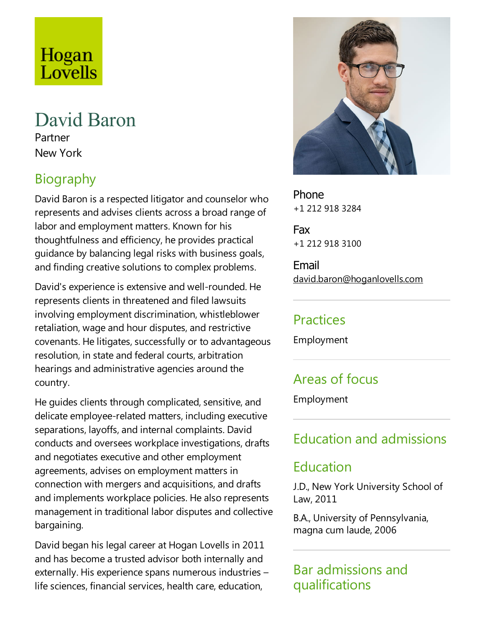# Hogan Lovells

# David Baron

Partner New York

# Biography

David Baron is arespected litigator and counselor who represents and advises clients across a broad range of labor and employment matters. Known for his thoughtfulness and efficiency, he provides practical guidance by balancing legal risks with business goals, and finding creative solutions to complex problems.

David's experience is extensive and well-rounded. He represents clients in threatened and filed lawsuits involving employment discrimination, whistleblower retaliation, wage and hour disputes, and restrictive covenants. He litigates, successfully or to advantageous resolution, in state and federal courts, arbitration hearings and administrative agencies around the country.

He guides clients through complicated, sensitive, and delicate employee-related matters, including executive separations, layoffs, and internal complaints. David conducts and oversees workplace investigations, drafts and negotiates executive and other employment agreements, advises on employment matters in connection with mergers and acquisitions, and drafts and implements workplace policies. He also represents management in traditional labor disputes and collective bargaining.

David began his legal career at Hogan Lovells in 2011 and has become a trusted advisor both internally and externally. His experience spans numerous industries  $$ life sciences, financial services, health care, education,



Phone +1 212 918 3284

Fax +1 212 918 3100

Email david.baron@hoganlovells.com

#### Practices

Employment

## Areas of focus

Employment

# Education and admissions

#### Education

J.D., New York University School of Law, 2011

B.A., University of Pennsylvania, magna cum laude, 2006

Bar admissions and qualifications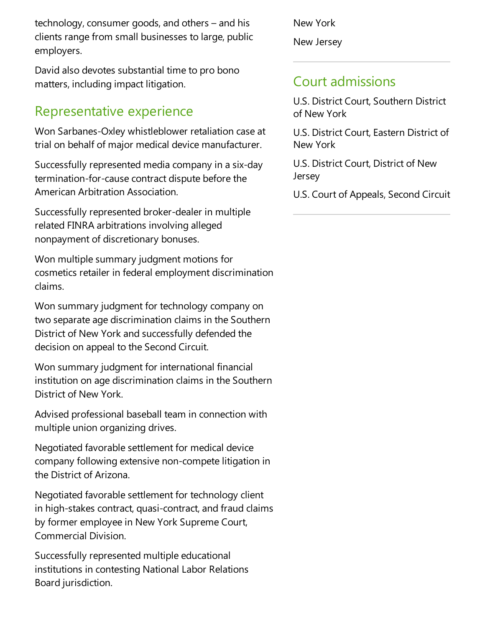technology, consumer goods, and others  $-$  and his clients range from small businesses to large, public employers.

David also devotes substantial time to pro bono matters, including impact litigation.

#### Representative experience

Won Sarbanes-Oxley whistleblower retaliation caseat trial on behalf of major medical device manufacturer.

Successfully represented media company in a six-day termination-for-cause contract dispute before the American Arbitration Association.

Successfully represented broker-dealer in multiple related FINRA arbitrations involving alleged nonpayment of discretionary bonuses.

Won multiple summary judgment motions for cosmetics retailer in federal employment discrimination claims.

Won summary judgment for technology company on two separate age discrimination claims in the Southern District of New York and successfully defended the decision on appeal to the Second Circuit.

Won summary judgment for international financial institution on age discrimination claims in the Southern District of New York.

Advised professional baseball team in connection with multiple union organizing drives.

Negotiated favorable settlement for medical device company following extensive non-compete litigation in the District of Arizona.

Negotiated favorable settlement for technology client in high-stakes contract, quasi-contract, and fraud claims by former employee in New York Supreme Court, Commercial Division.

Successfully represented multiple educational institutions in contesting National Labor Relations Board jurisdiction.

New York New Jersey

#### Court admissions

U.S. District Court, Southern District of New York

U.S. District Court, Eastern District of New York

U.S. District Court, District of New Jersey

U.S. Court of Appeals, Second Circuit